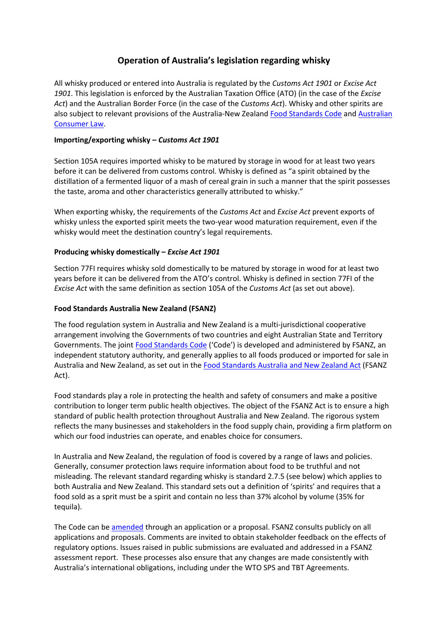# **Operation of Australia's legislation regarding whisky**

All whisky produced or entered into Australia is regulated by the *Customs Act 1901* or *Excise Act 1901*. This legislation is enforced by the Australian Taxation Office (ATO) (in the case of the *Excise Act*) and the Australian Border Force (in the case of the *Customs Act*). Whisky and other spirits are also subject to relevant provisions of the Australia-New Zealand [Food](https://www.foodstandards.gov.au/code/Pages/default.aspx) [Standards](https://www.foodstandards.gov.au/code/Pages/default.aspx) [Code](https://www.foodstandards.gov.au/code/Pages/default.aspx) and [Australian](https://www.accc.gov.au/) [Consumer](https://www.accc.gov.au/) [Law.](https://www.accc.gov.au/)

#### **Importing/exporting whisky –** *Customs Act 1901*

Section 105A requires imported whisky to be matured by storage in wood for at least two years before it can be delivered from customs control. Whisky is defined as "a spirit obtained by the distillation of a fermented liquor of a mash of cereal grain in such a manner that the spirit possesses the taste, aroma and other characteristics generally attributed to whisky."

When exporting whisky, the requirements of the *Customs Act* and *Excise Act* prevent exports of whisky unless the exported spirit meets the two-year wood maturation requirement, even if the whisky would meet the destination country's legal requirements.

## **Producing whisky domestically –** *Excise Act 1901*

Section 77FI requires whisky sold domestically to be matured by storage in wood for at least two years before it can be delivered from the ATO's control. Whisky is defined in section 77FI of the *Excise Act* with the same definition as section 105A of the *Customs Act* (as set out above).

## **Food Standards Australia New Zealand (FSANZ)**

The food regulation system in Australia and New Zealand is a multi-jurisdictional cooperative arrangement involving the Governments of two countries and eight Australian State and Territory Governments. The joint [Food](https://www.foodstandards.gov.au/code/Pages/default.aspx) [Standards](https://www.foodstandards.gov.au/code/Pages/default.aspx) [Code](https://www.foodstandards.gov.au/code/Pages/default.aspx) ('Code') is developed and administered by FSANZ, an independent statutory authority, and generally applies to all foods produced or imported for sale in Australia and New Zealand, as set out in the [Food](https://www.legislation.gov.au/Details/C2018C00243) [Standards](https://www.legislation.gov.au/Details/C2018C00243) [Australia](https://www.legislation.gov.au/Details/C2018C00243) [and](https://www.legislation.gov.au/Details/C2018C00243) [New](https://www.legislation.gov.au/Details/C2018C00243) [Zealand](https://www.legislation.gov.au/Details/C2018C00243) [Act](https://www.legislation.gov.au/Details/C2018C00243) (FSANZ Act).

Food standards play a role in protecting the health and safety of consumers and make a positive contribution to longer term public health objectives. The object of the FSANZ Act is to ensure a high standard of public health protection throughout Australia and New Zealand. The rigorous system reflects the many businesses and stakeholders in the food supply chain, providing a firm platform on which our food industries can operate, and enables choice for consumers.

In Australia and New Zealand, the regulation of food is covered by a range of laws and policies. Generally, consumer protection laws require information about food to be truthful and not misleading. The relevant standard regarding whisky is standard 2.7.5 (see below) which applies to both Australia and New Zealand. This standard sets out a definition of 'spirits' and requires that a food sold as a sprit must be a spirit and contain no less than 37% alcohol by volume (35% for tequila).

The Code can be [amended](https://foodregulation.gov.au/internet/fr/publishing.nsf/Content/making-food-standards) through an application or a proposal. FSANZ consults publicly on all applications and proposals. Comments are invited to obtain stakeholder feedback on the effects of regulatory options. Issues raised in public submissions are evaluated and addressed in a FSANZ assessment report. These processes also ensure that any changes are made consistently with Australia's international obligations, including under the WTO SPS and TBT Agreements.